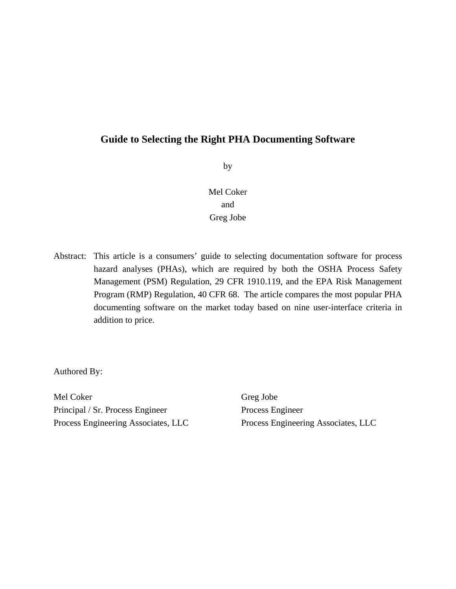by

Mel Coker and Greg Jobe

Abstract: This article is a consumers' guide to selecting documentation software for process hazard analyses (PHAs), which are required by both the OSHA Process Safety Management (PSM) Regulation, 29 CFR 1910.119, and the EPA Risk Management Program (RMP) Regulation, 40 CFR 68. The article compares the most popular PHA documenting software on the market today based on nine user-interface criteria in addition to price.

Authored By:

Mel Coker Principal / Sr. Process Engineer Process Engineering Associates, LLC

Greg Jobe Process Engineer Process Engineering Associates, LLC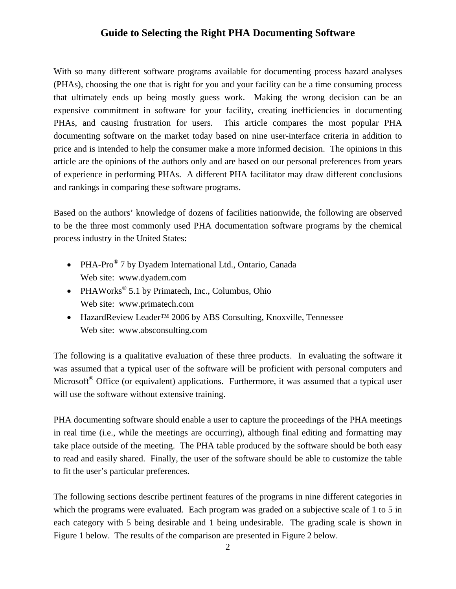With so many different software programs available for documenting process hazard analyses (PHAs), choosing the one that is right for you and your facility can be a time consuming process that ultimately ends up being mostly guess work. Making the wrong decision can be an expensive commitment in software for your facility, creating inefficiencies in documenting PHAs, and causing frustration for users. This article compares the most popular PHA documenting software on the market today based on nine user-interface criteria in addition to price and is intended to help the consumer make a more informed decision. The opinions in this article are the opinions of the authors only and are based on our personal preferences from years of experience in performing PHAs. A different PHA facilitator may draw different conclusions and rankings in comparing these software programs.

Based on the authors' knowledge of dozens of facilities nationwide, the following are observed to be the three most commonly used PHA documentation software programs by the chemical process industry in the United States:

- PHA-Pro<sup>®</sup> 7 by Dyadem International Ltd., Ontario, Canada Web site: www.dyadem.com
- PHAWorks<sup>®</sup> 5.1 by Primatech, Inc., Columbus, Ohio Web site: www.primatech.com
- HazardReview Leader™ 2006 by ABS Consulting, Knoxville, Tennessee Web site: www.absconsulting.com

The following is a qualitative evaluation of these three products. In evaluating the software it was assumed that a typical user of the software will be proficient with personal computers and Microsoft<sup>®</sup> Office (or equivalent) applications. Furthermore, it was assumed that a typical user will use the software without extensive training.

PHA documenting software should enable a user to capture the proceedings of the PHA meetings in real time (i.e., while the meetings are occurring), although final editing and formatting may take place outside of the meeting. The PHA table produced by the software should be both easy to read and easily shared. Finally, the user of the software should be able to customize the table to fit the user's particular preferences.

The following sections describe pertinent features of the programs in nine different categories in which the programs were evaluated. Each program was graded on a subjective scale of 1 to 5 in each category with 5 being desirable and 1 being undesirable. The grading scale is shown in Figure 1 below. The results of the comparison are presented in Figure 2 below.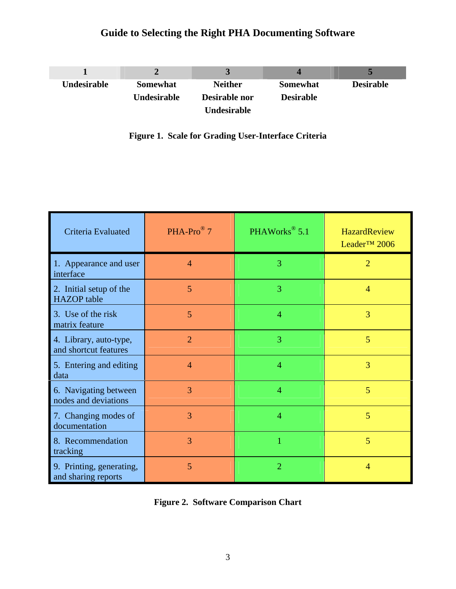| Undesirable | <b>Somewhat</b> | <b>Neither</b>     | <b>Somewhat</b>  | <b>Desirable</b> |
|-------------|-----------------|--------------------|------------------|------------------|
|             | Undesirable     | Desirable nor      | <b>Desirable</b> |                  |
|             |                 | <b>Undesirable</b> |                  |                  |

|  | <b>Figure 1. Scale for Grading User-Interface Criteria</b> |  |  |  |  |
|--|------------------------------------------------------------|--|--|--|--|
|--|------------------------------------------------------------|--|--|--|--|

| Criteria Evaluated                              | $PHA-Pro^{\circledR}$ 7 | PHAWorks <sup>®</sup> 5.1 | <b>HazardReview</b><br>Leader <sup>™</sup> 2006 |
|-------------------------------------------------|-------------------------|---------------------------|-------------------------------------------------|
| 1. Appearance and user<br>interface             | $\overline{4}$          | 3                         | $\overline{2}$                                  |
| 2. Initial setup of the<br><b>HAZOP</b> table   | 5                       | 3                         | $\overline{4}$                                  |
| 3. Use of the risk<br>matrix feature            | 5                       | $\overline{4}$            | 3                                               |
| 4. Library, auto-type,<br>and shortcut features | $\overline{2}$          | 3                         | 5                                               |
| 5. Entering and editing<br>data                 | $\overline{4}$          | $\overline{4}$            | 3                                               |
| 6. Navigating between<br>nodes and deviations   | 3                       | $\overline{4}$            | 5                                               |
| 7. Changing modes of<br>documentation           | 3                       | $\overline{4}$            | 5                                               |
| 8. Recommendation<br>tracking                   | 3                       | 1                         | 5                                               |
| 9. Printing, generating,<br>and sharing reports | 5                       | $\overline{2}$            | 4                                               |

|  |  | <b>Figure 2. Software Comparison Chart</b> |  |
|--|--|--------------------------------------------|--|
|--|--|--------------------------------------------|--|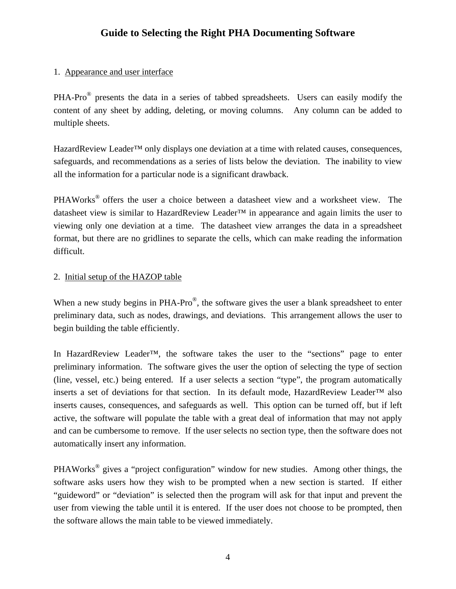## 1. Appearance and user interface

PHA-Pro® presents the data in a series of tabbed spreadsheets. Users can easily modify the content of any sheet by adding, deleting, or moving columns. Any column can be added to multiple sheets.

HazardReview Leader<sup>™</sup> only displays one deviation at a time with related causes, consequences, safeguards, and recommendations as a series of lists below the deviation. The inability to view all the information for a particular node is a significant drawback.

PHAWorks<sup>®</sup> offers the user a choice between a datasheet view and a worksheet view. The datasheet view is similar to HazardReview Leader™ in appearance and again limits the user to viewing only one deviation at a time. The datasheet view arranges the data in a spreadsheet format, but there are no gridlines to separate the cells, which can make reading the information difficult.

## 2. Initial setup of the HAZOP table

When a new study begins in PHA-Pro®, the software gives the user a blank spreadsheet to enter preliminary data, such as nodes, drawings, and deviations. This arrangement allows the user to begin building the table efficiently.

In HazardReview Leader™, the software takes the user to the "sections" page to enter preliminary information. The software gives the user the option of selecting the type of section (line, vessel, etc.) being entered. If a user selects a section "type", the program automatically inserts a set of deviations for that section. In its default mode, HazardReview Leader™ also inserts causes, consequences, and safeguards as well. This option can be turned off, but if left active, the software will populate the table with a great deal of information that may not apply and can be cumbersome to remove. If the user selects no section type, then the software does not automatically insert any information.

PHAWorks® gives a "project configuration" window for new studies. Among other things, the software asks users how they wish to be prompted when a new section is started. If either "guideword" or "deviation" is selected then the program will ask for that input and prevent the user from viewing the table until it is entered. If the user does not choose to be prompted, then the software allows the main table to be viewed immediately.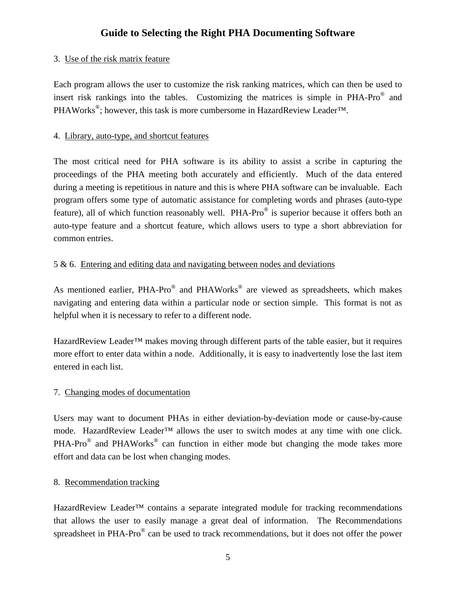### 3. Use of the risk matrix feature

Each program allows the user to customize the risk ranking matrices, which can then be used to insert risk rankings into the tables. Customizing the matrices is simple in PHA-Pro® and PHAWorks<sup>®</sup>; however, this task is more cumbersome in HazardReview Leader<sup>™.</sup>

#### 4. Library, auto-type, and shortcut features

The most critical need for PHA software is its ability to assist a scribe in capturing the proceedings of the PHA meeting both accurately and efficiently. Much of the data entered during a meeting is repetitious in nature and this is where PHA software can be invaluable. Each program offers some type of automatic assistance for completing words and phrases (auto-type feature), all of which function reasonably well. PHA-Pro® is superior because it offers both an auto-type feature and a shortcut feature, which allows users to type a short abbreviation for common entries.

#### 5 & 6. Entering and editing data and navigating between nodes and deviations

As mentioned earlier, PHA-Pro<sup>®</sup> and PHAWorks<sup>®</sup> are viewed as spreadsheets, which makes navigating and entering data within a particular node or section simple. This format is not as helpful when it is necessary to refer to a different node.

HazardReview Leader™ makes moving through different parts of the table easier, but it requires more effort to enter data within a node. Additionally, it is easy to inadvertently lose the last item entered in each list.

## 7. Changing modes of documentation

Users may want to document PHAs in either deviation-by-deviation mode or cause-by-cause mode. HazardReview Leader™ allows the user to switch modes at any time with one click. PHA-Pro® and PHAWorks® can function in either mode but changing the mode takes more effort and data can be lost when changing modes.

## 8. Recommendation tracking

HazardReview Leader™ contains a separate integrated module for tracking recommendations that allows the user to easily manage a great deal of information. The Recommendations spreadsheet in PHA-Pro® can be used to track recommendations, but it does not offer the power